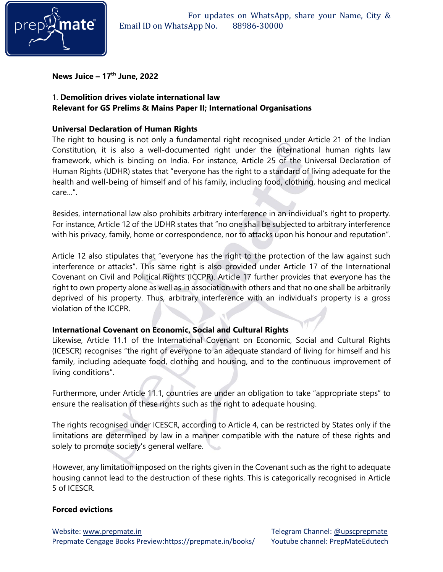

**News Juice – 17 th June, 2022**

# 1. **Demolition drives violate international law Relevant for GS Prelims & Mains Paper II; International Organisations**

### **Universal Declaration of Human Rights**

The right to housing is not only a fundamental right recognised under Article 21 of the Indian Constitution, it is also a well-documented right under the international human rights law framework, which is binding on India. For instance, Article 25 of the Universal Declaration of Human Rights (UDHR) states that "everyone has the right to a standard of living adequate for the health and well-being of himself and of his family, including food, clothing, housing and medical care…".

Besides, international law also prohibits arbitrary interference in an individual's right to property. For instance, Article 12 of the UDHR states that "no one shall be subjected to arbitrary interference with his privacy, family, home or correspondence, nor to attacks upon his honour and reputation".

Article 12 also stipulates that "everyone has the right to the protection of the law against such interference or attacks". This same right is also provided under Article 17 of the International Covenant on Civil and Political Rights (ICCPR). Article 17 further provides that everyone has the right to own property alone as well as in association with others and that no one shall be arbitrarily deprived of his property. Thus, arbitrary interference with an individual's property is a gross violation of the ICCPR.

# **International Covenant on Economic, Social and Cultural Rights**

Likewise, Article 11.1 of the International Covenant on Economic, Social and Cultural Rights (ICESCR) recognises "the right of everyone to an adequate standard of living for himself and his family, including adequate food, clothing and housing, and to the continuous improvement of living conditions".

Furthermore, under Article 11.1, countries are under an obligation to take "appropriate steps" to ensure the realisation of these rights such as the right to adequate housing.

The rights recognised under ICESCR, according to Article 4, can be restricted by States only if the limitations are determined by law in a manner compatible with the nature of these rights and solely to promote society's general welfare.

However, any limitation imposed on the rights given in the Covenant such as the right to adequate housing cannot lead to the destruction of these rights. This is categorically recognised in Article 5 of ICESCR.

# **Forced evictions**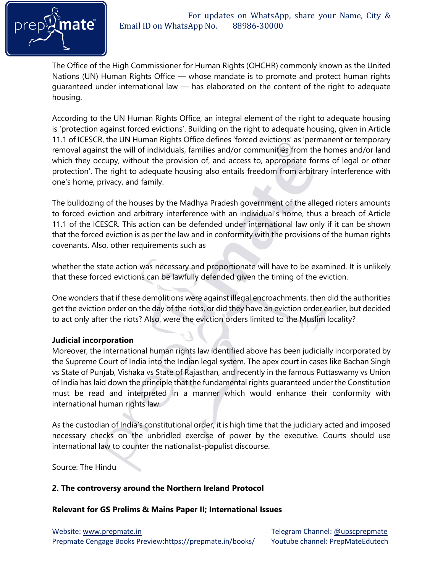

The Office of the High Commissioner for Human Rights (OHCHR) commonly known as the United Nations (UN) Human Rights Office — whose mandate is to promote and protect human rights guaranteed under international law — has elaborated on the content of the right to adequate housing.

According to the UN Human Rights Office, an integral element of the right to adequate housing is 'protection against forced evictions'. Building on the right to adequate housing, given in Article 11.1 of ICESCR, the UN Human Rights Office defines 'forced evictions' as 'permanent or temporary removal against the will of individuals, families and/or communities from the homes and/or land which they occupy, without the provision of, and access to, appropriate forms of legal or other protection'. The right to adequate housing also entails freedom from arbitrary interference with one's home, privacy, and family.

The bulldozing of the houses by the Madhya Pradesh government of the alleged rioters amounts to forced eviction and arbitrary interference with an individual's home, thus a breach of Article 11.1 of the ICESCR. This action can be defended under international law only if it can be shown that the forced eviction is as per the law and in conformity with the provisions of the human rights covenants. Also, other requirements such as

whether the state action was necessary and proportionate will have to be examined. It is unlikely that these forced evictions can be lawfully defended given the timing of the eviction.

One wonders that if these demolitions were against illegal encroachments, then did the authorities get the eviction order on the day of the riots, or did they have an eviction order earlier, but decided to act only after the riots? Also, were the eviction orders limited to the Muslim locality?

# **Judicial incorporation**

Moreover, the international human rights law identified above has been judicially incorporated by the Supreme Court of India into the Indian legal system. The apex court in cases like Bachan Singh vs State of Punjab, Vishaka vs State of Rajasthan, and recently in the famous Puttaswamy vs Union of India has laid down the principle that the fundamental rights guaranteed under the Constitution must be read and interpreted in a manner which would enhance their conformity with international human rights law.

As the custodian of India's constitutional order, it is high time that the judiciary acted and imposed necessary checks on the unbridled exercise of power by the executive. Courts should use international law to counter the nationalist-populist discourse.

Source: The Hindu

# **2. The controversy around the Northern Ireland Protocol**

#### **Relevant for GS Prelims & Mains Paper II; International Issues**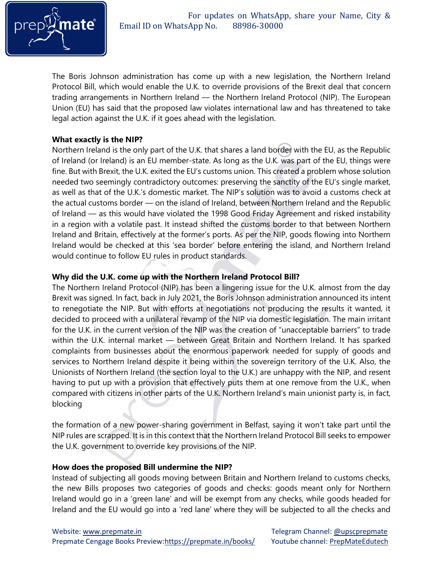

The Boris Johnson administration has come up with a new legislation, the Northern Ireland Protocol Bill, which would enable the U.K. to override provisions of the Brexit deal that concern trading arrangements in Northern Ireland — the Northern Ireland Protocol (NIP). The European Union (EU) has said that the proposed law violates international law and has threatened to take legal action against the U.K. if it goes ahead with the legislation.

# **What exactly is the NIP?**

Northern Ireland is the only part of the U.K. that shares a land border with the EU, as the Republic of Ireland (or Ireland) is an EU member-state. As long as the U.K. was part of the EU, things were fine. But with Brexit, the U.K. exited the EU's customs union. This created a problem whose solution needed two seemingly contradictory outcomes: preserving the sanctity of the EU's single market, as well as that of the U.K.'s domestic market. The NIP's solution was to avoid a customs check at the actual customs border — on the island of Ireland, between Northern Ireland and the Republic of Ireland — as this would have violated the 1998 Good Friday Agreement and risked instability in a region with a volatile past. It instead shifted the customs border to that between Northern Ireland and Britain, effectively at the former's ports. As per the NIP, goods flowing into Northern Ireland would be checked at this 'sea border' before entering the island, and Northern Ireland would continue to follow EU rules in product standards.

### **Why did the U.K. come up with the Northern Ireland Protocol Bill?**

The Northern Ireland Protocol (NIP) has been a lingering issue for the U.K. almost from the day Brexit was signed. In fact, back in July 2021, the Boris Johnson administration announced its intent to renegotiate the NIP. But with efforts at negotiations not producing the results it wanted, it decided to proceed with a unilateral revamp of the NIP via domestic legislation. The main irritant for the U.K. in the current version of the NIP was the creation of "unacceptable barriers" to trade within the U.K. internal market — between Great Britain and Northern Ireland. It has sparked complaints from businesses about the enormous paperwork needed for supply of goods and services to Northern Ireland despite it being within the sovereign territory of the U.K. Also, the Unionists of Northern Ireland (the section loyal to the U.K.) are unhappy with the NIP, and resent having to put up with a provision that effectively puts them at one remove from the U.K., when compared with citizens in other parts of the U.K. Northern Ireland's main unionist party is, in fact, blocking

the formation of a new power-sharing government in Belfast, saying it won't take part until the NIP rules are scrapped. It is in this context that the Northern Ireland Protocol Bill seeks to empower the U.K. government to override key provisions of the NIP.

#### **How does the proposed Bill undermine the NIP?**

Instead of subjecting all goods moving between Britain and Northern Ireland to customs checks, the new Bills proposes two categories of goods and checks: goods meant only for Northern Ireland would go in a 'green lane' and will be exempt from any checks, while goods headed for Ireland and the EU would go into a 'red lane' where they will be subjected to all the checks and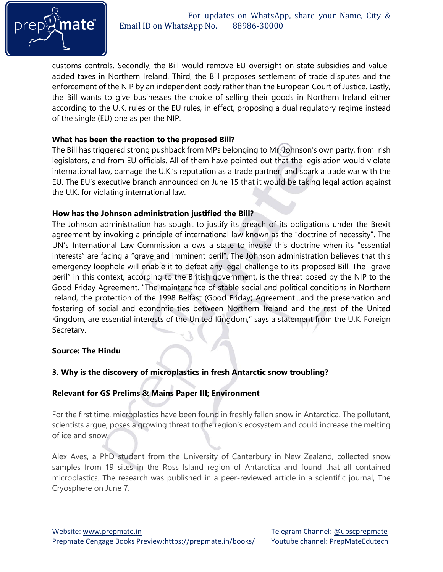

customs controls. Secondly, the Bill would remove EU oversight on state subsidies and valueadded taxes in Northern Ireland. Third, the Bill proposes settlement of trade disputes and the enforcement of the NIP by an independent body rather than the European Court of Justice. Lastly, the Bill wants to give businesses the choice of selling their goods in Northern Ireland either according to the U.K. rules or the EU rules, in effect, proposing a dual regulatory regime instead of the single (EU) one as per the NIP.

### **What has been the reaction to the proposed Bill?**

The Bill has triggered strong pushback from MPs belonging to Mr. Johnson's own party, from Irish legislators, and from EU officials. All of them have pointed out that the legislation would violate international law, damage the U.K.'s reputation as a trade partner, and spark a trade war with the EU. The EU's executive branch announced on June 15 that it would be taking legal action against the U.K. for violating international law.

### **How has the Johnson administration justified the Bill?**

The Johnson administration has sought to justify its breach of its obligations under the Brexit agreement by invoking a principle of international law known as the "doctrine of necessity". The UN's International Law Commission allows a state to invoke this doctrine when its "essential interests" are facing a "grave and imminent peril". The Johnson administration believes that this emergency loophole will enable it to defeat any legal challenge to its proposed Bill. The "grave peril" in this context, according to the British government, is the threat posed by the NIP to the Good Friday Agreement. "The maintenance of stable social and political conditions in Northern Ireland, the protection of the 1998 Belfast (Good Friday) Agreement…and the preservation and fostering of social and economic ties between Northern Ireland and the rest of the United Kingdom, are essential interests of the United Kingdom," says a statement from the U.K. Foreign Secretary.

#### **Source: The Hindu**

# **3. Why is the discovery of microplastics in fresh Antarctic snow troubling?**

# **Relevant for GS Prelims & Mains Paper III; Environment**

For the first time, microplastics have been found in freshly fallen snow in Antarctica. The pollutant, scientists argue, poses a growing threat to the region's ecosystem and could increase the melting of ice and snow.

Alex Aves, a PhD student from the University of Canterbury in New Zealand, collected snow samples from 19 sites in the Ross Island region of Antarctica and found that all contained microplastics. The research was published in a peer-reviewed article in a scientific journal, The Cryosphere on June 7.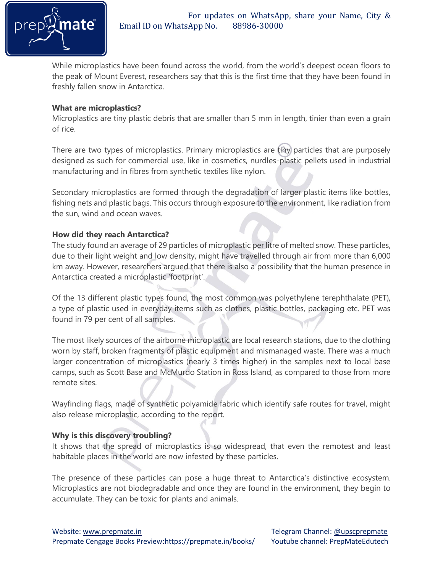

While microplastics have been found across the world, from the world's deepest ocean floors to the peak of Mount Everest, researchers say that this is the first time that they have been found in freshly fallen snow in Antarctica.

### **What are microplastics?**

Microplastics are tiny plastic debris that are smaller than 5 mm in length, tinier than even a grain of rice.

There are two types of microplastics. Primary microplastics are tiny particles that are purposely designed as such for commercial use, like in cosmetics, nurdles-plastic pellets used in industrial manufacturing and in fibres from synthetic textiles like nylon.

Secondary microplastics are formed through the degradation of larger plastic items like bottles, fishing nets and plastic bags. This occurs through exposure to the environment, like radiation from the sun, wind and ocean waves.

# **How did they reach Antarctica?**

The study found an average of 29 particles of microplastic per litre of melted snow. These particles, due to their light weight and low density, might have travelled through air from more than 6,000 km away. However, researchers argued that there is also a possibility that the human presence in Antarctica created a microplastic 'footprint'.

Of the 13 different plastic types found, the most common was polyethylene terephthalate (PET), a type of plastic used in everyday items such as clothes, plastic bottles, packaging etc. PET was found in 79 per cent of all samples.

The most likely sources of the airborne microplastic are local research stations, due to the clothing worn by staff, broken fragments of plastic equipment and mismanaged waste. There was a much larger concentration of microplastics (nearly 3 times higher) in the samples next to local base camps, such as Scott Base and McMurdo Station in Ross Island, as compared to those from more remote sites.

Wayfinding flags, made of synthetic polyamide fabric which identify safe routes for travel, might also release microplastic, according to the report.

# **Why is this discovery troubling?**

It shows that the spread of microplastics is so widespread, that even the remotest and least habitable places in the world are now infested by these particles.

The presence of these particles can pose a huge threat to Antarctica's distinctive ecosystem. Microplastics are not biodegradable and once they are found in the environment, they begin to accumulate. They can be toxic for plants and animals.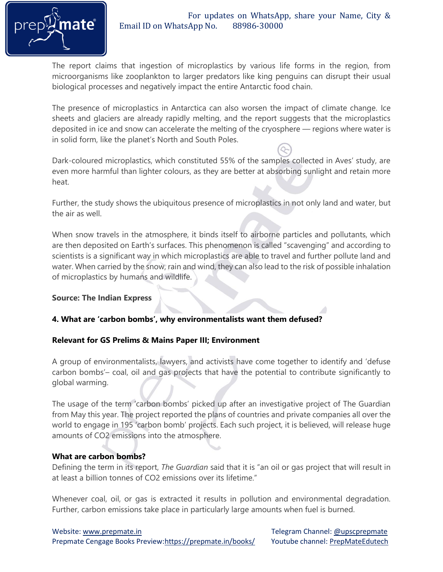

The report claims that ingestion of microplastics by various life forms in the region, from microorganisms like zooplankton to larger predators like king penguins can disrupt their usual biological processes and negatively impact the entire Antarctic food chain.

The presence of microplastics in Antarctica can also worsen the impact of climate change. Ice sheets and glaciers are already rapidly melting, and the report suggests that the microplastics deposited in ice and snow can accelerate the melting of the cryosphere — regions where water is in solid form, like the planet's North and South Poles.

Dark-coloured microplastics, which constituted 55% of the samples collected in Aves' study, are even more harmful than lighter colours, as they are better at absorbing sunlight and retain more heat.

Further, the study shows the ubiquitous presence of microplastics in not only land and water, but the air as well.

When snow travels in the atmosphere, it binds itself to airborne particles and pollutants, which are then deposited on Earth's surfaces. This phenomenon is called "scavenging" and according to scientists is a significant way in which microplastics are able to travel and further pollute land and water. When carried by the snow, rain and wind, they can also lead to the risk of possible inhalation of microplastics by humans and wildlife.

# **Source: The Indian Express**

# **4. What are 'carbon bombs', why environmentalists want them defused?**

#### **Relevant for GS Prelims & Mains Paper III; Environment**

A group of environmentalists, lawyers, and activists have come together to identify and 'defuse carbon bombs'– coal, oil and gas projects that have the potential to contribute significantly to global warming.

The usage of the term 'carbon bombs' picked up after an investigative project of The Guardian from May this year. The project reported the plans of countries and private companies all over the world to engage in 195 'carbon bomb' projects. Each such project, it is believed, will release huge amounts of CO2 emissions into the atmosphere.

#### **What are carbon bombs?**

Defining the term in its report, *The Guardian* said that it is "an oil or gas project that will result in at least a billion tonnes of CO2 emissions over its lifetime."

Whenever coal, oil, or gas is extracted it results in pollution and environmental degradation. Further, carbon emissions take place in particularly large amounts when fuel is burned.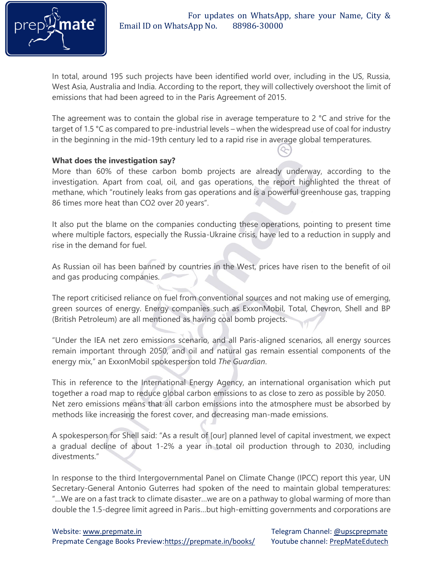

In total, around 195 such projects have been identified world over, including in the US, Russia, West Asia, Australia and India. According to the report, they will collectively overshoot the limit of emissions that had been agreed to in the Paris Agreement of 2015.

The agreement was to contain the global rise in average temperature to 2 °C and strive for the target of 1.5 °C as compared to pre-industrial levels – when the widespread use of coal for industry in the beginning in the mid-19th century led to a rapid rise in average global temperatures.

#### **What does the investigation say?**

More than 60% of these carbon bomb projects are already underway, according to the investigation. Apart from coal, oil, and gas operations, the report highlighted the threat of methane, which "routinely leaks from gas operations and is a powerful greenhouse gas, trapping 86 times more heat than CO2 over 20 years".

It also put the blame on the companies conducting these operations, pointing to present time where multiple factors, especially the Russia-Ukraine crisis, have led to a reduction in supply and rise in the demand for fuel.

As Russian oil has been banned by countries in the West, prices have risen to the benefit of oil and gas producing companies.

The report criticised reliance on fuel from conventional sources and not making use of emerging, green sources of energy. Energy companies such as ExxonMobil, Total, Chevron, Shell and BP (British Petroleum) are all mentioned as having coal bomb projects.

"Under the IEA net zero emissions scenario, and all Paris-aligned scenarios, all energy sources remain important through 2050, and oil and natural gas remain essential components of the energy mix," an ExxonMobil spokesperson told *The Guardian*.

This in reference to the International Energy Agency, an international organisation which put together a road map to reduce global carbon emissions to as close to zero as possible by 2050. Net zero emissions means that all carbon emissions into the atmosphere must be absorbed by methods like increasing the forest cover, and decreasing man-made emissions.

A spokesperson for Shell said: "As a result of [our] planned level of capital investment, we expect a gradual decline of about 1-2% a year in total oil production through to 2030, including divestments."

In response to the third Intergovernmental Panel on Climate Change (IPCC) report this year, UN Secretary-General Antonio Guterres had spoken of the need to maintain global temperatures: "…We are on a fast track to climate disaster…we are on a pathway to global warming of more than double the 1.5-degree limit agreed in Paris…but high-emitting governments and corporations are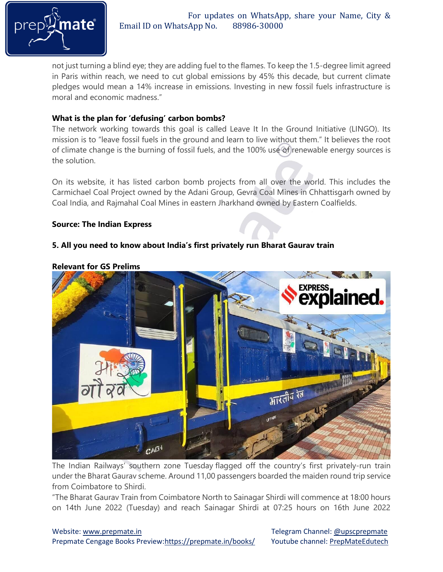

 For updates on WhatsApp, share your Name, City & Email ID on WhatsApp No. 88986-30000

not just turning a blind eye; they are adding fuel to the flames. To keep the 1.5-degree limit agreed in Paris within reach, we need to cut global emissions by 45% this decade, but current climate pledges would mean a 14% increase in emissions. Investing in new fossil fuels infrastructure is moral and economic madness."

### **What is the plan for 'defusing' carbon bombs?**

The network working towards this goal is called Leave It In the Ground Initiative (LINGO). Its mission is to "leave fossil fuels in the ground and learn to live without them." It believes the root of climate change is the burning of fossil fuels, and the 100% use of renewable energy sources is the solution.

On its website, it has listed carbon bomb projects from all over the world. This includes the Carmichael Coal Project owned by the Adani Group, Gevra Coal Mines in Chhattisgarh owned by Coal India, and Rajmahal Coal Mines in eastern Jharkhand owned by Eastern Coalfields.

#### **Source: The Indian Express**

### **5. All you need to know about India's first privately run Bharat Gaurav train**



#### **Relevant for GS Prelims**

The Indian Railways' southern zone Tuesday flagged off the country's first privately-run train under the Bharat Gaurav scheme. Around 11,00 passengers boarded the maiden round trip service from Coimbatore to Shirdi.

"The Bharat Gaurav Train from Coimbatore North to Sainagar Shirdi will commence at 18:00 hours on 14th June 2022 (Tuesday) and reach Sainagar Shirdi at 07:25 hours on 16th June 2022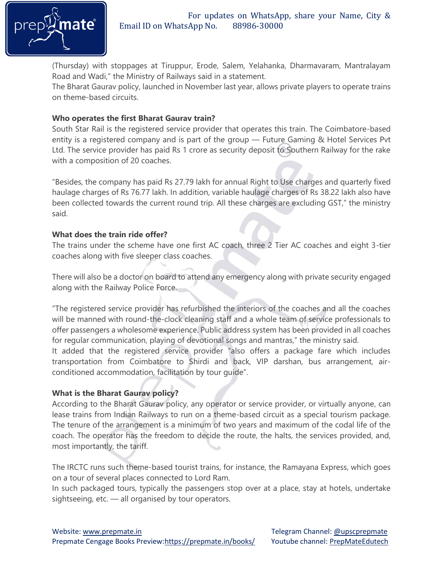

(Thursday) with stoppages at Tiruppur, Erode, Salem, Yelahanka, Dharmavaram, Mantralayam Road and Wadi," the Ministry of Railways said in a statement.

The Bharat Gaurav policy, launched in November last year, allows private players to operate trains on theme-based circuits.

### **Who operates the first Bharat Gaurav train?**

South Star Rail is the registered service provider that operates this train. The Coimbatore-based entity is a registered company and is part of the group — Future Gaming & Hotel Services Pvt Ltd. The service provider has paid Rs 1 crore as security deposit to Southern Railway for the rake with a composition of 20 coaches.

"Besides, the company has paid Rs 27.79 lakh for annual Right to Use charges and quarterly fixed haulage charges of Rs 76.77 lakh. In addition, variable haulage charges of Rs 38.22 lakh also have been collected towards the current round trip. All these charges are excluding GST," the ministry said.

### **What does the train ride offer?**

The trains under the scheme have one first AC coach, three 2 Tier AC coaches and eight 3-tier coaches along with five sleeper class coaches.

There will also be a doctor on board to attend any emergency along with private security engaged along with the Railway Police Force.

"The registered service provider has refurbished the interiors of the coaches and all the coaches will be manned with round-the-clock cleaning staff and a whole team of service professionals to offer passengers a wholesome experience. Public address system has been provided in all coaches for regular communication, playing of devotional songs and mantras," the ministry said.

It added that the registered service provider "also offers a package fare which includes transportation from Coimbatore to Shirdi and back, VIP darshan, bus arrangement, airconditioned accommodation, facilitation by tour guide".

# **What is the Bharat Gaurav policy?**

According to the Bharat Gaurav policy, any operator or service provider, or virtually anyone, can lease trains from Indian Railways to run on a theme-based circuit as a special tourism package. The tenure of the arrangement is a minimum of two years and maximum of the codal life of the coach. The operator has the freedom to decide the route, the halts, the services provided, and, most importantly, the tariff.

The IRCTC runs such theme-based tourist trains, for instance, the Ramayana Express, which goes on a tour of several places connected to Lord Ram.

In such packaged tours, typically the passengers stop over at a place, stay at hotels, undertake sightseeing, etc. — all organised by tour operators.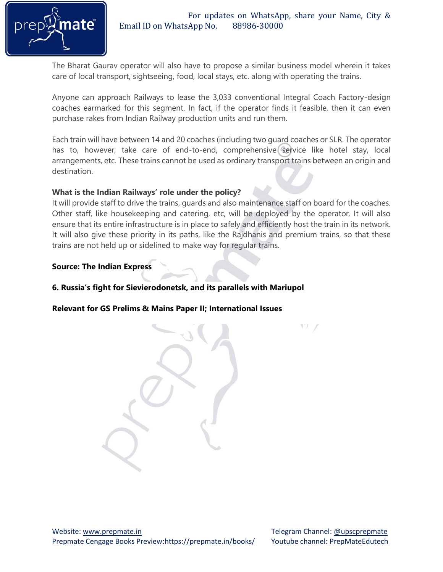

The Bharat Gaurav operator will also have to propose a similar business model wherein it takes care of local transport, sightseeing, food, local stays, etc. along with operating the trains.

Anyone can approach Railways to lease the 3,033 conventional Integral Coach Factory-design coaches earmarked for this segment. In fact, if the operator finds it feasible, then it can even purchase rakes from Indian Railway production units and run them.

Each train will have between 14 and 20 coaches (including two guard coaches or SLR. The operator has to, however, take care of end-to-end, comprehensive service like hotel stay, local arrangements, etc. These trains cannot be used as ordinary transport trains between an origin and destination.

#### **What is the Indian Railways' role under the policy?**

It will provide staff to drive the trains, guards and also maintenance staff on board for the coaches. Other staff, like housekeeping and catering, etc, will be deployed by the operator. It will also ensure that its entire infrastructure is in place to safely and efficiently host the train in its network. It will also give these priority in its paths, like the Rajdhanis and premium trains, so that these trains are not held up or sidelined to make way for regular trains.

### **Source: The Indian Express**

### **6. Russia's fight for Sievierodonetsk, and its parallels with Mariupol**

**Relevant for GS Prelims & Mains Paper II; International Issues**

VI J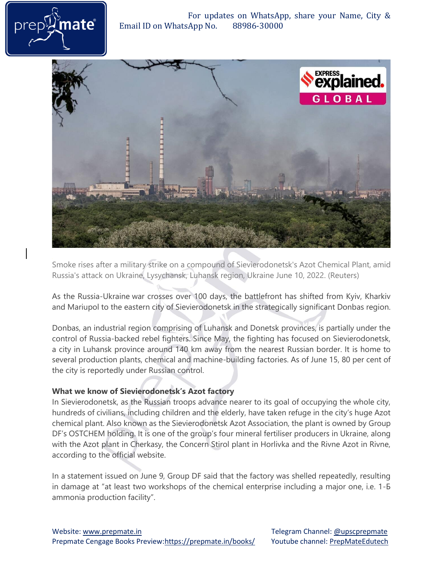For updates on WhatsApp, share your Name, City & Email ID on WhatsApp No. 88986-30000





Smoke rises after a military strike on a compound of Sievierodonetsk's Azot Chemical Plant, amid Russia's attack on Ukraine, Lysychansk, Luhansk region, Ukraine June 10, 2022. (Reuters)

As the Russia-Ukraine war crosses over 100 days, the battlefront has shifted from Kyiv, Kharkiv and Mariupol to the eastern city of Sievierodonetsk in the strategically significant Donbas region.

Donbas, an industrial region comprising of Luhansk and Donetsk provinces, is partially under the control of Russia-backed rebel fighters. Since May, the fighting has focused on Sievierodonetsk, a city in Luhansk province around 140 km away from the nearest Russian border. It is home to several production plants, chemical and machine-building factories. As of June 15, 80 per cent of the city is reportedly under Russian control.

# **What we know of Sievierodonetsk's Azot factory**

In Sievierodonetsk, as the Russian troops advance nearer to its goal of occupying the whole city, hundreds of civilians, including children and the elderly, have taken refuge in the city's huge Azot chemical plant. Also known as the Sievierodonetsk Azot Association, the plant is owned by Group DF's OSTCHEM holding. It is one of the group's four mineral fertiliser producers in Ukraine, along with the Azot plant in Cherkasy, the Concern Stirol plant in Horlivka and the Rivne Azot in Rivne, according to the official website.

In a statement issued on June 9, Group DF said that the factory was shelled repeatedly, resulting in damage at "at least two workshops of the chemical enterprise including a major one, i.e. 1-Б ammonia production facility".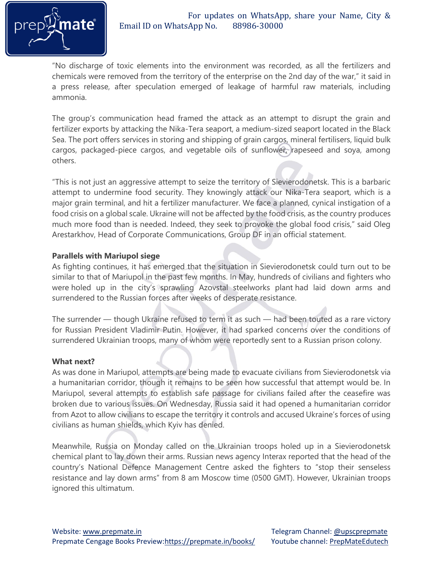

"No discharge of toxic elements into the environment was recorded, as all the fertilizers and chemicals were removed from the territory of the enterprise on the 2nd day of the war," it said in a press release, after speculation emerged of leakage of harmful raw materials, including ammonia.

The group's communication head framed the attack as an attempt to disrupt the grain and fertilizer exports by attacking the Nika-Tera seaport, a medium-sized seaport located in the Black Sea. The port offers services in storing and shipping of grain cargos, mineral fertilisers, liquid bulk cargos, packaged-piece cargos, and vegetable oils of sunflower, rapeseed and soya, among others.

"This is not just an aggressive attempt to seize the territory of Sievierodonetsk. This is a barbaric attempt to undermine food security. They knowingly attack our Nika-Tera seaport, which is a major grain terminal, and hit a fertilizer manufacturer. We face a planned, cynical instigation of a food crisis on a global scale. Ukraine will not be affected by the food crisis, as the country produces much more food than is needed. Indeed, they seek to provoke the global food crisis," said Oleg Arestarkhov, Head of Corporate Communications, Group DF in an official statement.

### **Parallels with Mariupol siege**

As fighting continues, it has emerged that the situation in Sievierodonetsk could turn out to be similar to that of Mariupol in the past few months. In May, hundreds of civilians and fighters who were holed up in the city's sprawling Azovstal steelworks plant had laid down arms and surrendered to the Russian forces after weeks of desperate resistance.

The surrender — though Ukraine refused to term it as such — had been touted as a rare victory for Russian President Vladimir Putin. However, it had sparked concerns over the conditions of surrendered Ukrainian troops, many of whom were reportedly sent to a Russian prison colony.

#### **What next?**

As was done in Mariupol, attempts are being made to evacuate civilians from Sievierodonetsk via a humanitarian corridor, though it remains to be seen how successful that attempt would be. In Mariupol, several attempts to establish safe passage for civilians failed after the ceasefire was broken due to various issues. On Wednesday, Russia said it had opened a humanitarian corridor from Azot to allow civilians to escape the territory it controls and accused Ukraine's forces of using civilians as human shields, which Kyiv has denied.

Meanwhile, Russia on Monday called on the Ukrainian troops holed up in a Sievierodonetsk chemical plant to lay down their arms. Russian news agency Interax reported that the head of the country's National Defence Management Centre asked the fighters to "stop their senseless resistance and lay down arms" from 8 am Moscow time (0500 GMT). However, Ukrainian troops ignored this ultimatum.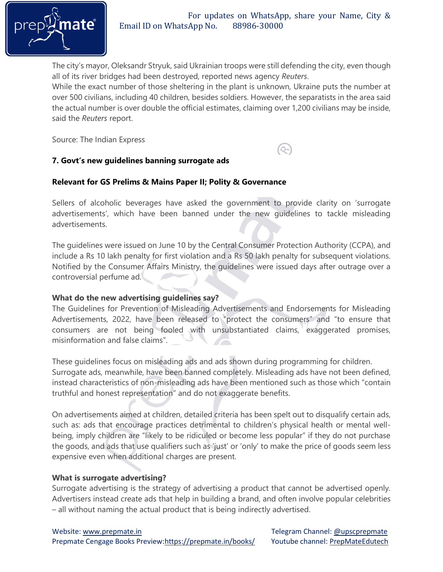

 $\infty$ 

The city's mayor, Oleksandr Stryuk, said Ukrainian troops were still defending the city, even though all of its river bridges had been destroyed, reported news agency *Reuters*.

While the exact number of those sheltering in the plant is unknown, Ukraine puts the number at over 500 civilians, including 40 children, besides soldiers. However, the separatists in the area said the actual number is over double the official estimates, claiming over 1,200 civilians may be inside, said the *Reuters* report.

Source: The Indian Express

# **7. Govt's new guidelines banning surrogate ads**

### **Relevant for GS Prelims & Mains Paper II; Polity & Governance**

Sellers of alcoholic beverages have asked the government to provide clarity on 'surrogate advertisements', which have been banned under the new guidelines to tackle misleading advertisements.

The guidelines were issued on June 10 by the Central Consumer Protection Authority (CCPA), and include a Rs 10 lakh penalty for first violation and a Rs 50 lakh penalty for subsequent violations. Notified by the Consumer Affairs Ministry, the guidelines were issued days after outrage over a controversial perfume ad.

### **What do the new advertising guidelines say?**

The Guidelines for Prevention of Misleading Advertisements and Endorsements for Misleading Advertisements, 2022, have been released to "protect the consumers" and "to ensure that consumers are not being fooled with unsubstantiated claims, exaggerated promises, misinformation and false claims".

These guidelines focus on misleading ads and ads shown during programming for children. Surrogate ads, meanwhile, have been banned completely. Misleading ads have not been defined, instead characteristics of non-misleading ads have been mentioned such as those which "contain truthful and honest representation" and do not exaggerate benefits.

On advertisements aimed at children, detailed criteria has been spelt out to disqualify certain ads, such as: ads that encourage practices detrimental to children's physical health or mental wellbeing, imply children are "likely to be ridiculed or become less popular" if they do not purchase the goods, and ads that use qualifiers such as 'just' or 'only' to make the price of goods seem less expensive even when additional charges are present.

#### **What is surrogate advertising?**

Surrogate advertising is the strategy of advertising a product that cannot be advertised openly. Advertisers instead create ads that help in building a brand, and often involve popular celebrities – all without naming the actual product that is being indirectly advertised.